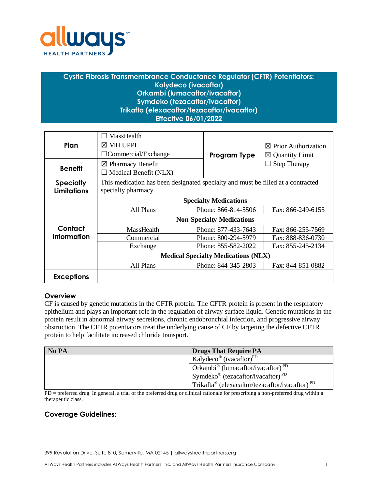

# **Cystic Fibrosis Transmembrance Conductance Regulator (CFTR) Potentiators: Kalydeco (ivacaftor) Orkambi (lumacaftor/ivacaftor) Symdeko (tezacaftor/ivacaftor) Trikafta (elexacaftor/tezacaftor/ivacaftor) Effective 06/01/2022**

| Plan                                   | MassHealth<br>$\boxtimes$ MH UPPL<br>$\Box$ Commercial/Exchange                                         | Program Type        | <b>Prior Authorization</b><br>$\bowtie$<br>$\boxtimes$ Quantity Limit |  |  |
|----------------------------------------|---------------------------------------------------------------------------------------------------------|---------------------|-----------------------------------------------------------------------|--|--|
| <b>Benefit</b>                         | $\boxtimes$ Pharmacy Benefit<br>Medical Benefit (NLX)                                                   |                     | <b>Step Therapy</b>                                                   |  |  |
| <b>Specialty</b><br><b>Limitations</b> | This medication has been designated specialty and must be filled at a contracted<br>specialty pharmacy. |                     |                                                                       |  |  |
|                                        | <b>Specialty Medications</b>                                                                            |                     |                                                                       |  |  |
|                                        | All Plans                                                                                               | Phone: 866-814-5506 | Fax: 866-249-6155                                                     |  |  |
|                                        | <b>Non-Specialty Medications</b>                                                                        |                     |                                                                       |  |  |
| Contact                                | MassHealth                                                                                              | Phone: 877-433-7643 | Fax: 866-255-7569                                                     |  |  |
| <b>Information</b>                     | Commercial                                                                                              | Phone: 800-294-5979 | Fax: 888-836-0730                                                     |  |  |
|                                        | Phone: 855-582-2022<br>Exchange                                                                         |                     | Fax: 855-245-2134                                                     |  |  |
|                                        | <b>Medical Specialty Medications (NLX)</b>                                                              |                     |                                                                       |  |  |
|                                        | All Plans                                                                                               | Phone: 844-345-2803 | Fax: 844-851-0882                                                     |  |  |
| <b>Exceptions</b>                      |                                                                                                         |                     |                                                                       |  |  |

### **Overview**

CF is caused by genetic mutations in the CFTR protein. The CFTR protein is present in the respiratory epithelium and plays an important role in the regulation of airway surface liquid. Genetic mutations in the protein result in abnormal airway secretions, chronic endobronchial infection, and progressive airway obstruction. The CFTR potentiators treat the underlying cause of CF by targeting the defective CFTR protein to help facilitate increased chloride transport.

| No PA | <b>Drugs That Require PA</b>                                           |  |  |
|-------|------------------------------------------------------------------------|--|--|
|       | Kalydeco <sup>®</sup> (ivacaftor) <sup>PD</sup>                        |  |  |
|       | Orkambi <sup>®</sup> (lumacaftor/ivacaftor) <sup>PD</sup>              |  |  |
|       | Symdeko <sup>®</sup> (tezacaftor/ivacaftor) <sup>PD</sup>              |  |  |
|       | Trikafta <sup>®</sup> (elexacaftor/tezacaftor/ivacaftor) <sup>PD</sup> |  |  |

PD = preferred drug. In general, a trial of the preferred drug or clinical rationale for prescribing a non-preferred drug within a therapeutic class.

# **Coverage Guidelines:**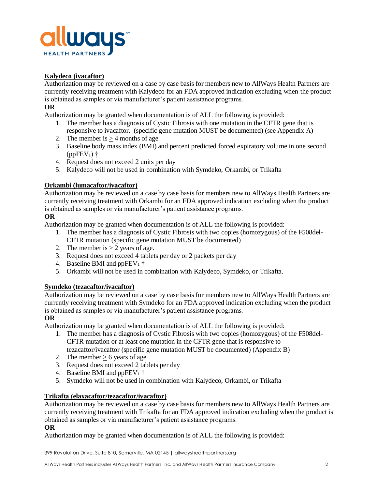

## **Kalydeco (ivacaftor)**

Authorization may be reviewed on a case by case basis for members new to AllWays Health Partners are currently receiving treatment with Kalydeco for an FDA approved indication excluding when the product is obtained as samples or via manufacturer's patient assistance programs.

### **OR**

Authorization may be granted when documentation is of ALL the following is provided:

- 1. The member has a diagnosis of Cystic Fibrosis with one mutation in the CFTR gene that is responsive to ivacaftor. (specific gene mutation MUST be documented) (see Appendix A)
- 2. The member is  $> 4$  months of age
- 3. Baseline body mass index (BMI) and percent predicted forced expiratory volume in one second  $(ppFEV_1)$  †
- 4. Request does not exceed 2 units per day
- 5. Kalydeco will not be used in combination with Symdeko, Orkambi, or Trikafta

### **Orkambi (lumacaftor/ivacaftor)**

Authorization may be reviewed on a case by case basis for members new to AllWays Health Partners are currently receiving treatment with Orkambi for an FDA approved indication excluding when the product is obtained as samples or via manufacturer's patient assistance programs.

### **OR**

Authorization may be granted when documentation is of ALL the following is provided:

- 1. The member has a diagnosis of Cystic Fibrosis with two copies (homozygous) of the F508del-CFTR mutation (specific gene mutation MUST be documented)
- 2. The member is  $\geq 2$  years of age.
- 3. Request does not exceed 4 tablets per day or 2 packets per day
- 4. Baseline BMI and ppFEV<sub>1</sub>  $\dagger$
- 5. Orkambi will not be used in combination with Kalydeco, Symdeko, or Trikafta.

### **Symdeko (tezacaftor/ivacaftor)**

Authorization may be reviewed on a case by case basis for members new to AllWays Health Partners are currently receiving treatment with Symdeko for an FDA approved indication excluding when the product is obtained as samples or via manufacturer's patient assistance programs.

### **OR**

Authorization may be granted when documentation is of ALL the following is provided:

- 1. The member has a diagnosis of Cystic Fibrosis with two copies (homozygous) of the F508del-CFTR mutation or at least one mutation in the CFTR gene that is responsive to tezacaftor/ivacaftor (specific gene mutation MUST be documented) (Appendix B)
- 2. The member  $> 6$  years of age
- 3. Request does not exceed 2 tablets per day
- 4. Baseline BMI and ppFEV<sub>1</sub>  $\dagger$
- 5. Symdeko will not be used in combination with Kalydeco, Orkambi, or Trikafta

### **Trikafta (elaxacaftor/tezacaftor/ivacaftor)**

Authorization may be reviewed on a case by case basis for members new to AllWays Health Partners are currently receiving treatment with Trikafta for an FDA approved indication excluding when the product is obtained as samples or via manufacturer's patient assistance programs.

### **OR**

Authorization may be granted when documentation is of ALL the following is provided:

399 Revolution Drive, Suite 810, Somerville, MA 02145 | allwayshealthpartners.org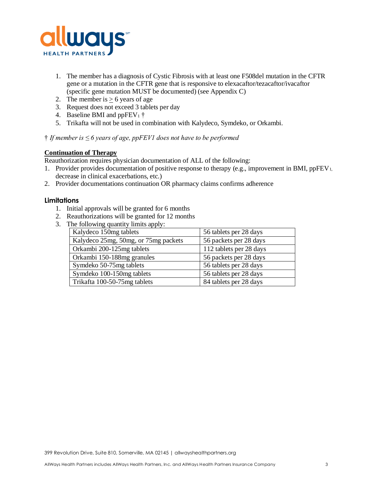

- 1. The member has a diagnosis of Cystic Fibrosis with at least one F508del mutation in the CFTR gene or a mutation in the CFTR gene that is responsive to elexacaftor/tezacaftor/ivacaftor (specific gene mutation MUST be documented) (see Appendix C)
- 2. The member is  $> 6$  years of age
- 3. Request does not exceed 3 tablets per day
- 4. Baseline BMI and ppFEV<sub>1</sub>  $\dagger$
- 5. Trikafta will not be used in combination with Kalydeco, Symdeko, or Orkambi.

### † *If member is ≤ 6 years of age, ppFEV1 does not have to be performed*

### **Continuation of Therapy**

Reauthorization requires physician documentation of ALL of the following:

- 1. Provider provides documentation of positive response to therapy (e.g., improvement in BMI, ppFEV<sub>1,</sub> decrease in clinical exacerbations, etc.)
- 2. Provider documentations continuation OR pharmacy claims confirms adherence

### **Limitations**

- 1. Initial approvals will be granted for 6 months
- 2. Reauthorizations will be granted for 12 months
- 3. The following quantity limits apply:

| Kalydeco 150mg tablets               | 56 tablets per 28 days  |
|--------------------------------------|-------------------------|
| Kalydeco 25mg, 50mg, or 75mg packets | 56 packets per 28 days  |
| Orkambi 200-125mg tablets            | 112 tablets per 28 days |
| Orkambi 150-188mg granules           | 56 packets per 28 days  |
| Symdeko 50-75mg tablets              | 56 tablets per 28 days  |
| Symdeko 100-150mg tablets            | 56 tablets per 28 days  |
| Trikafta 100-50-75mg tablets         | 84 tablets per 28 days  |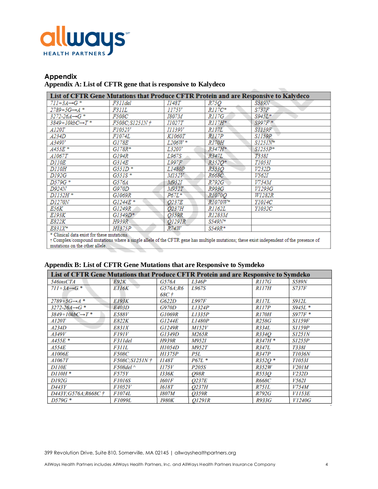

# **Appendix Appendix A: List of CFTR gene that is responsive to Kalydeco**

| List of CFTR Gene Mutations that Produce CFTR Protein and are Responsive to Kalydeco |               |               |               |               |  |
|--------------------------------------------------------------------------------------|---------------|---------------|---------------|---------------|--|
| $711+3A\rightarrow G$ *                                                              | F311 del      | <i>I148T</i>  | <i>R75Q</i>   | S589N         |  |
| $2789+5G \rightarrow A$ *                                                            | F311L         | 1175V         | $RII7C*$      | S737F         |  |
| $3272 - 26A \rightarrow G$ *                                                         | <i>F508C</i>  | 1807M         | R117G         | $S945L*$      |  |
| 3849+10kbC→T*                                                                        | F508C;S1251N+ | <i>I1027T</i> | R117H*        | $S997F$ *     |  |
| <i>A120T</i>                                                                         | <i>F1052V</i> | <i>I1139V</i> | R117L         | <i>S1159F</i> |  |
| <i>A234D</i>                                                                         | <i>F1074L</i> | <i>K1060T</i> | R117P         | <i>S1159P</i> |  |
| <i>A349V</i>                                                                         | G178E         | $L206W*$      | <i>R170H</i>  | $S1251N^*$    |  |
| A455E *                                                                              | $GI78R*$      | <i>L320V</i>  | R347H*        | $SI255P*$     |  |
| A1067T                                                                               | G194R         | L967S         | R347L         | T338I         |  |
| <i>D110E</i>                                                                         | G314E         | <i>L997F</i>  | $R352O*$      | <i>T1053I</i> |  |
| <i>D110H</i>                                                                         | $G55ID*$      | <i>L1480P</i> | R553Q         | V232D         |  |
| D192G                                                                                | $G55IS*$      | M152V         | <i>R668C</i>  | V562I         |  |
| D579G *                                                                              | G576A         | M952I         | R792G         | V754M         |  |
| D924N                                                                                | G970D         | M952T         | R993G         | V1293G        |  |
| $D1152H*$                                                                            | G1069R        | $P67L*$       | <i>R1070Q</i> | <i>W1282R</i> |  |
| <b>D1270N</b>                                                                        | G1244E*       | Q237E         | $R1070W^*$    | <i>Y1014C</i> |  |
| E56K                                                                                 | G1249R        | <i>0237H</i>  | <i>R1162L</i> | <i>Y1032C</i> |  |
| E193K                                                                                | $GI349D*$     | <i>O359R</i>  | R1283M        |               |  |
| E822K                                                                                | H939R         | O1291R        | S549N*        |               |  |
| E831X*                                                                               | <i>H1375P</i> | R74W          | S549R*        |               |  |
| * Clinical data exist for these mutations.                                           |               |               |               |               |  |

T Complex/compound mutations where a single allele of the CFTR gene has multiple mutations; these exist independent of the presence of mutations on the other allele.

| List of CFTR Gene Mutations that Produce CFTR Protein and are Responsive to Symdeko |               |                     |              |              |               |  |
|-------------------------------------------------------------------------------------|---------------|---------------------|--------------|--------------|---------------|--|
| 546insCTA                                                                           | <b>E92K</b>   | G576A               | L346P        | <i>R117G</i> | <b>S589N</b>  |  |
| $711+3A\rightarrow G$ *                                                             | E116K         | G576A:R6            | L967S        | <i>R117H</i> | <i>S737F</i>  |  |
|                                                                                     |               | 68C †               |              |              |               |  |
| $2789+5G \rightarrow A$ *                                                           | <b>E193K</b>  | G622D               | <b>L997F</b> | R117L        | <b>S912L</b>  |  |
| $3272 - 26A \rightarrow G$ *                                                        | E403D         | <b>G970D</b>        | L1324P       | <i>R117P</i> | S945L *       |  |
| $3849+10kbC \rightarrow T$ *                                                        | <b>E588V</b>  | <b>G1069R</b>       | L1335P       | <b>R170H</b> | $S977F*$      |  |
| A120T                                                                               | E822K         | <b>G1244E</b>       | L1480P       | <b>R258G</b> | <b>S1159F</b> |  |
| A234D                                                                               | <i>E831X</i>  | G1249R              | <b>M152V</b> | R334L        | <b>S1159P</b> |  |
| A349V                                                                               | <i>F191V</i>  | G1349D              | M265R        | R334O        | <i>S1251N</i> |  |
| $A455E$ *                                                                           | F311del       | <b>H939R</b>        | <b>M952I</b> | $R347H*$     | <i>S1255P</i> |  |
| <i>A554E</i>                                                                        | F311L         | H1054D              | <b>M952T</b> | R347L        | <b>T338I</b>  |  |
| <b>A1006E</b>                                                                       | <i>F508C</i>  | <b>H1375P</b>       | P5L          | <i>R347P</i> | <b>T1036N</b> |  |
| <i>A1067T</i>                                                                       | F508C:S1251N+ | <i>1148T</i>        | $P67L$ *     | $R352O*$     | T10531        |  |
| <b>D110E</b>                                                                        | $F508$ del ^  | II75V               | P205S        | R352W        | V201M         |  |
| $D110H*$                                                                            | <i>F575Y</i>  | 1336K               | Q98R         | <i>R553O</i> | V232D         |  |
| D192G                                                                               | <b>F1016S</b> | <i><b>I601F</b></i> | O237E        | <i>R668C</i> | <i>V562I</i>  |  |
| D443Y                                                                               | <i>F1052V</i> | 1618T               | <i>O237H</i> | <i>R751L</i> | V754M         |  |
| D443Y:G576A:R668C+                                                                  | <b>F1074L</b> | <i>I807M</i>        | O359R        | <b>R792G</b> | <i>V1153E</i> |  |
| $D579G*$                                                                            | <b>F1099L</b> | 1980K               | O1291R       | R933G        | <i>V1240G</i> |  |

### **Appendix B: List of CFTR Gene Mutations that are Responsive to Symdeko**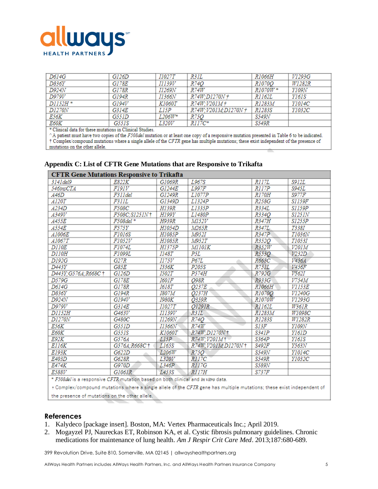

| D614G                                                                                                                                                                                                                                  | GI26D | <i>I1027T</i> | R31L               | <i>R1066H</i> | V1293G        |
|----------------------------------------------------------------------------------------------------------------------------------------------------------------------------------------------------------------------------------------|-------|---------------|--------------------|---------------|---------------|
| D836Y                                                                                                                                                                                                                                  | G178E | <i>I1139V</i> | <i>R74O</i>        | <i>R1070Q</i> | W1282R        |
| D924N                                                                                                                                                                                                                                  | G178R | <i>I1269N</i> | R74W               | R1070W*       | Y109N         |
| D979V                                                                                                                                                                                                                                  | G194R | I1366N        | R74W;D1270N †      | <i>R1162L</i> | <i>Y161S</i>  |
| D1152H *                                                                                                                                                                                                                               | GI94V | <i>K1060T</i> | R74W; V201M+       | R1283M        | <i>Y1014C</i> |
| <b>D1270N</b>                                                                                                                                                                                                                          | G314E | L15P          | R74W:V201M:D1270N+ | R1283S        | Y1032C        |
| E56K                                                                                                                                                                                                                                   | G551D | $L206W^*$     | R75Q               | S549N         |               |
| E60K<br>and any property of the contract of the contract of the contract of the contract of the contract of the contract of the contract of the contract of the contract of the contract of the contract of the contract of the contra | G551S | <i>L320V</i>  | $RII7C*$           | S549R         |               |

\* Clinical data for these mutations in Clinical Studies.

^A patient must have two copies of the F508del mutation or at least one copy of a responsive mutation presented in Table 6 to be indicated. † Complex/compound mutations where a single allele of the CFTR gene has multiple mutations; these exist independent of the presence of mutations on the other allele.

| <b>CFTR Gene Mutations Responsive to Trikafta</b>                                      |               |               |                       |               |               |  |
|----------------------------------------------------------------------------------------|---------------|---------------|-----------------------|---------------|---------------|--|
| 3141 del 9                                                                             | E822K         | G1069R        | L967S                 | R117L         | S912L         |  |
| 546insCTA                                                                              | F191V         | G1244E        | L997F                 | R117P         | S945L         |  |
| A46D                                                                                   | F311 del      | G1249R        | L1077P                | <i>R170H</i>  | <b>S977F</b>  |  |
| <i>A120T</i>                                                                           | F311L         | G1349D        | <i>L1324P</i>         | R258G         | <b>S1159F</b> |  |
| A234D                                                                                  | <i>F508C</i>  | H139R         | L1335P                | R334L         | <i>S1159P</i> |  |
| <i>A349V</i>                                                                           | F508C;S1251N+ | H199Y         | L1480P                | R334O         | <i>S1251N</i> |  |
| A455E                                                                                  | F508del *     | <b>H939R</b>  | M152V                 | R347H         | <i>S1255P</i> |  |
| <i>A554E</i>                                                                           | F575Y         | <b>H1054D</b> | M265R                 | R347L         | T338I         |  |
| <i>A1006E</i>                                                                          | F1016S        | H1085P        | <i>M952I</i>          | R347P         | <i>T1036N</i> |  |
| <i>A1067T</i>                                                                          | <i>F1052V</i> | H1085R        | <i>M952T</i>          | R352O         | T1053I        |  |
| <i>D110E</i>                                                                           | <i>F1074L</i> | H1375P        | MIIOIK                | R352W         | V20IM         |  |
| <i>D110H</i>                                                                           | F1099L        | <i>1148T</i>  | P5L                   | <i>R553O</i>  | V232D         |  |
| D192G                                                                                  | G27R          | 1175V         | <b>P67L</b>           | R668C         | V456A         |  |
| D443Y                                                                                  | G85E          | 1336K         | P <sub>205</sub> S    | R751L         | V456F         |  |
| D443Y; G576A; R668C +                                                                  | G126D         | <i>I502T</i>  | P574H                 | R792G         | V562I         |  |
| D579G                                                                                  | G178E         | <i>I601F</i>  | O98R                  | R933G         | V754M         |  |
| D614G                                                                                  | G178R         | <i>I618T</i>  | Q237E                 | R1066H        | <i>V1153E</i> |  |
| D836Y                                                                                  | G194R         | <i>I807M</i>  | O237H                 | R1070O        | V1240G        |  |
| D924N                                                                                  | G194V         | <b>I980K</b>  | <i>O359R</i>          | <i>R1070W</i> | V1293G        |  |
| D979V                                                                                  | G314E         | <i>I1027T</i> | <i>O1291R</i>         | R1162L        | W361R         |  |
| D1152H                                                                                 | G463V         | <i>11139V</i> | R31L                  | R1283M        | W1098C        |  |
| <b>D1270N</b>                                                                          | G480C         | I1269N        | R74Q                  | R1283S        | W1282R        |  |
| E56K                                                                                   | G551D         | I1366N        | R74W                  | S13F          | Y109N         |  |
| E60K                                                                                   | G551S         | <i>K1060T</i> | R74W;D1270N+          | <b>S341P</b>  | Y161D         |  |
| E92K                                                                                   | G576A         | L15P          | $R74W;V201M\dagger$   | S364P         | Y161S         |  |
| E116K                                                                                  | G576A:R668C+  | L165S         | R74W; V201M; D1270N + | S492F         | Y563N         |  |
| E193K                                                                                  | G622D         | L206W         | R750                  | S549N         | Y1014C        |  |
| E403D                                                                                  | G628R         | L320V         | <i>R117C</i>          | S549R         | Y1032C        |  |
| E474K                                                                                  | G970D         | L346P         | <i>R117G</i>          | S589N         |               |  |
| <i>E588V</i>                                                                           | G1061R        | L453S         | RI17H                 | S737F         |               |  |
| * ESARJALIA – concernature CETR postetion benedicts both eligible coal to stres detail |               |               |                       |               |               |  |

### **Appendix C: List of CFTR Gene Mutations that are Responsive to Trikafta**

F508del is a responsive CFTR mutation based on both clinical and in vitro data.

+ Complex/compound mutations where a single allele of the CFTR gene has multiple mutations; these exist independent of the presence of mutations on the other allele.

#### **References**

- 1. Kalydeco [package insert]. Boston, MA: Vertex Pharmaceuticals Inc.; April 2019.
- 2. Mogayzel PJ, Naureckas ET, Robinson KA, et al. Cystic fibrosis pulmonary guidelines. Chronic medications for maintenance of lung health. *Am J Respir Crit Care Med*. 2013;187:680-689.

399 Revolution Drive, Suite 810, Somerville, MA 02145 | allwayshealthpartners.org